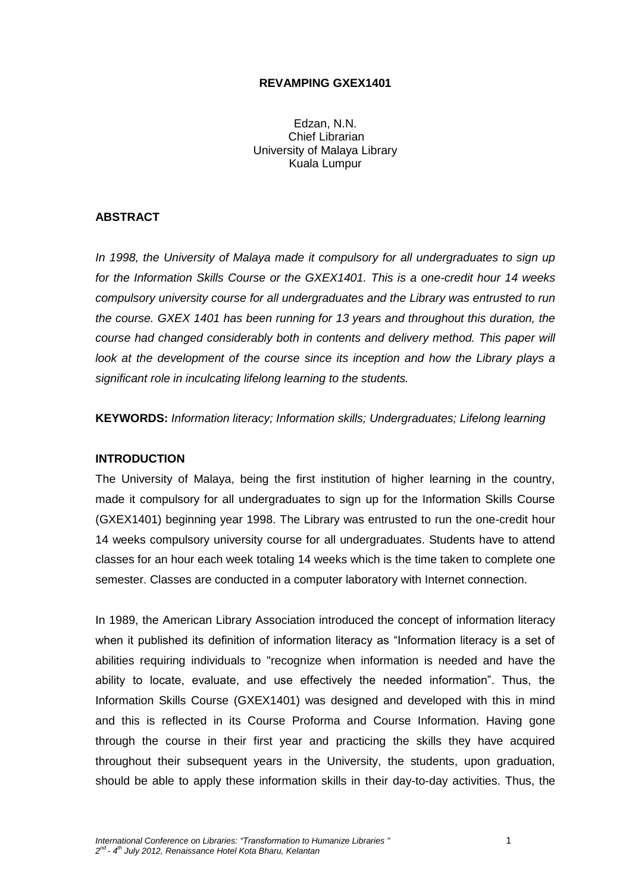## **REVAMPING GXEX1401**

Edzan, N.N. Chief Librarian University of Malaya Library Kuala Lumpur

# **ABSTRACT**

*In 1998, the University of Malaya made it compulsory for all undergraduates to sign up for the Information Skills Course or the GXEX1401. This is a one-credit hour 14 weeks compulsory university course for all undergraduates and the Library was entrusted to run the course. GXEX 1401 has been running for 13 years and throughout this duration, the course had changed considerably both in contents and delivery method. This paper will look at the development of the course since its inception and how the Library plays a significant role in inculcating lifelong learning to the students.*

**KEYWORDS:** *Information literacy; Information skills; Undergraduates; Lifelong learning*

## **INTRODUCTION**

The University of Malaya, being the first institution of higher learning in the country, made it compulsory for all undergraduates to sign up for the Information Skills Course (GXEX1401) beginning year 1998. The Library was entrusted to run the one-credit hour 14 weeks compulsory university course for all undergraduates. Students have to attend classes for an hour each week totaling 14 weeks which is the time taken to complete one semester. Classes are conducted in a computer laboratory with Internet connection.

In 1989, the American Library Association introduced the concept of information literacy when it published its definition of information literacy as "Information literacy is a set of abilities requiring individuals to "recognize when information is needed and have the ability to locate, evaluate, and use effectively the needed information". Thus, the Information Skills Course (GXEX1401) was designed and developed with this in mind and this is reflected in its Course Proforma and Course Information. Having gone through the course in their first year and practicing the skills they have acquired throughout their subsequent years in the University, the students, upon graduation, should be able to apply these information skills in their day-to-day activities. Thus, the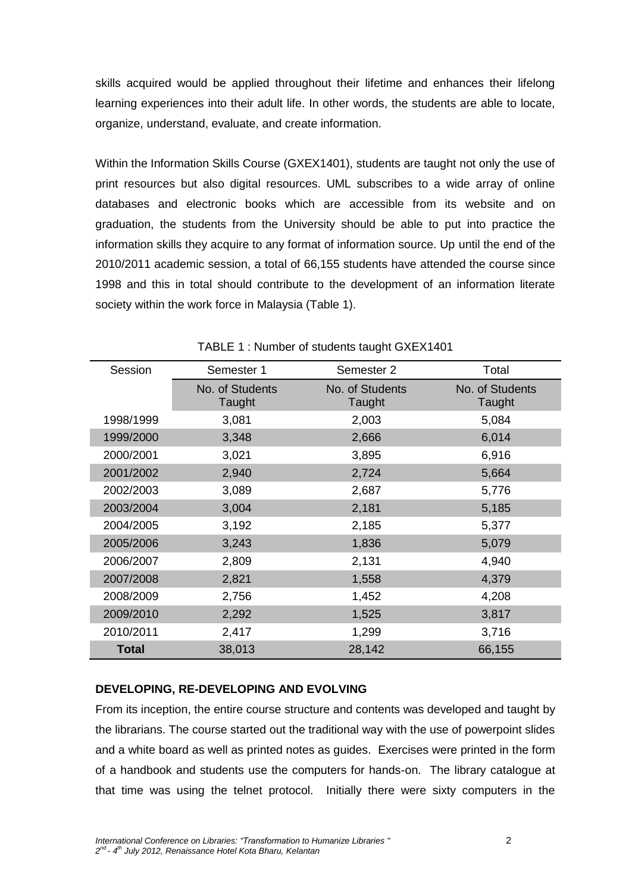skills acquired would be applied throughout their lifetime and enhances their lifelong learning experiences into their adult life. In other words, the students are able to locate, organize, understand, evaluate, and create information.

Within the Information Skills Course (GXEX1401), students are taught not only the use of print resources but also digital resources. UML subscribes to a wide array of online databases and electronic books which are accessible from its website and on graduation, the students from the University should be able to put into practice the information skills they acquire to any format of information source. Up until the end of the 2010/2011 academic session, a total of 66,155 students have attended the course since 1998 and this in total should contribute to the development of an information literate society within the work force in Malaysia (Table 1).

| Session      | Semester 1                | Semester 2                | Total                     |
|--------------|---------------------------|---------------------------|---------------------------|
|              | No. of Students<br>Taught | No. of Students<br>Taught | No. of Students<br>Taught |
| 1998/1999    | 3,081                     | 2,003                     | 5,084                     |
| 1999/2000    | 3,348                     | 2,666                     | 6,014                     |
| 2000/2001    | 3,021                     | 3,895                     | 6,916                     |
| 2001/2002    | 2,940                     | 2,724                     | 5,664                     |
| 2002/2003    | 3,089                     | 2,687                     | 5,776                     |
| 2003/2004    | 3,004                     | 2,181                     | 5,185                     |
| 2004/2005    | 3,192                     | 2,185                     | 5,377                     |
| 2005/2006    | 3,243                     | 1,836                     | 5,079                     |
| 2006/2007    | 2,809                     | 2,131                     | 4,940                     |
| 2007/2008    | 2,821                     | 1,558                     | 4,379                     |
| 2008/2009    | 2,756                     | 1,452                     | 4,208                     |
| 2009/2010    | 2,292                     | 1,525                     | 3,817                     |
| 2010/2011    | 2,417                     | 1,299                     | 3,716                     |
| <b>Total</b> | 38,013                    | 28,142                    | 66,155                    |

# TABLE 1 : Number of students taught GXEX1401

# **DEVELOPING, RE-DEVELOPING AND EVOLVING**

From its inception, the entire course structure and contents was developed and taught by the librarians. The course started out the traditional way with the use of powerpoint slides and a white board as well as printed notes as guides. Exercises were printed in the form of a handbook and students use the computers for hands-on. The library catalogue at that time was using the telnet protocol. Initially there were sixty computers in the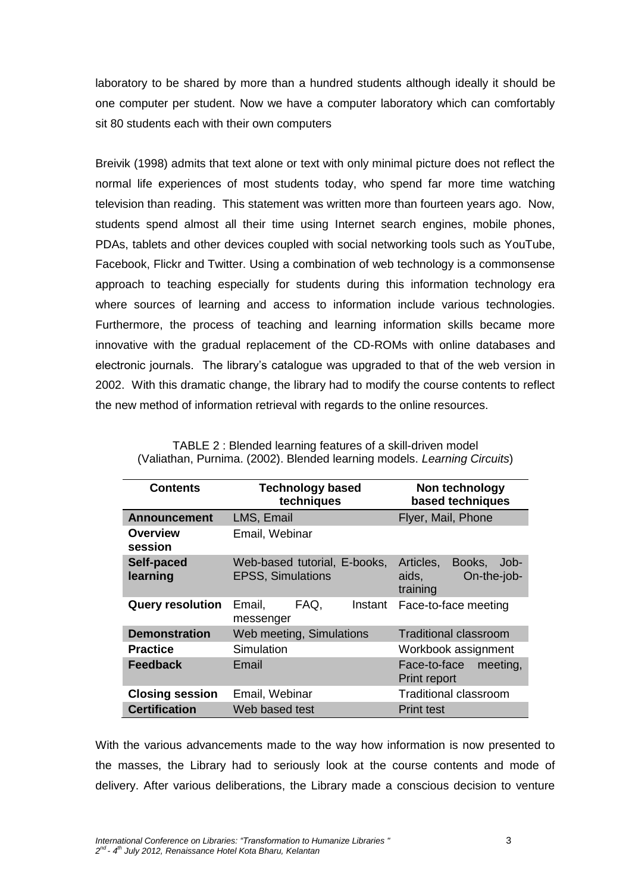laboratory to be shared by more than a hundred students although ideally it should be one computer per student. Now we have a computer laboratory which can comfortably sit 80 students each with their own computers

Breivik (1998) admits that text alone or text with only minimal picture does not reflect the normal life experiences of most students today, who spend far more time watching television than reading. This statement was written more than fourteen years ago. Now, students spend almost all their time using Internet search engines, mobile phones, PDAs, tablets and other devices coupled with social networking tools such as YouTube, Facebook, Flickr and Twitter. Using a combination of web technology is a commonsense approach to teaching especially for students during this information technology era where sources of learning and access to information include various technologies. Furthermore, the process of teaching and learning information skills became more innovative with the gradual replacement of the CD-ROMs with online databases and electronic journals. The library's catalogue was upgraded to that of the web version in 2002. With this dramatic change, the library had to modify the course contents to reflect the new method of information retrieval with regards to the online resources.

| <b>Contents</b>            | <b>Technology based</b><br>techniques                    | Non technology<br>based techniques                              |
|----------------------------|----------------------------------------------------------|-----------------------------------------------------------------|
| <b>Announcement</b>        | LMS, Email                                               | Flyer, Mail, Phone                                              |
| <b>Overview</b><br>session | Email, Webinar                                           |                                                                 |
| Self-paced<br>learning     | Web-based tutorial, E-books,<br><b>EPSS, Simulations</b> | Books,<br>Articles.<br>Job-<br>aids,<br>On-the-job-<br>training |
| <b>Query resolution</b>    | Email,<br>FAQ.<br>Instant<br>messenger                   | Face-to-face meeting                                            |
| <b>Demonstration</b>       | Web meeting, Simulations                                 | <b>Traditional classroom</b>                                    |
| <b>Practice</b>            | Simulation                                               | Workbook assignment                                             |
| <b>Feedback</b>            | Email                                                    | Face-to-face<br>meeting,<br>Print report                        |
| <b>Closing session</b>     | Email, Webinar                                           | <b>Traditional classroom</b>                                    |
| <b>Certification</b>       | Web based test                                           | <b>Print test</b>                                               |

| TABLE 2: Blended learning features of a skill-driven model               |
|--------------------------------------------------------------------------|
| (Valiathan, Purnima. (2002). Blended learning models. Learning Circuits) |

With the various advancements made to the way how information is now presented to the masses, the Library had to seriously look at the course contents and mode of delivery. After various deliberations, the Library made a conscious decision to venture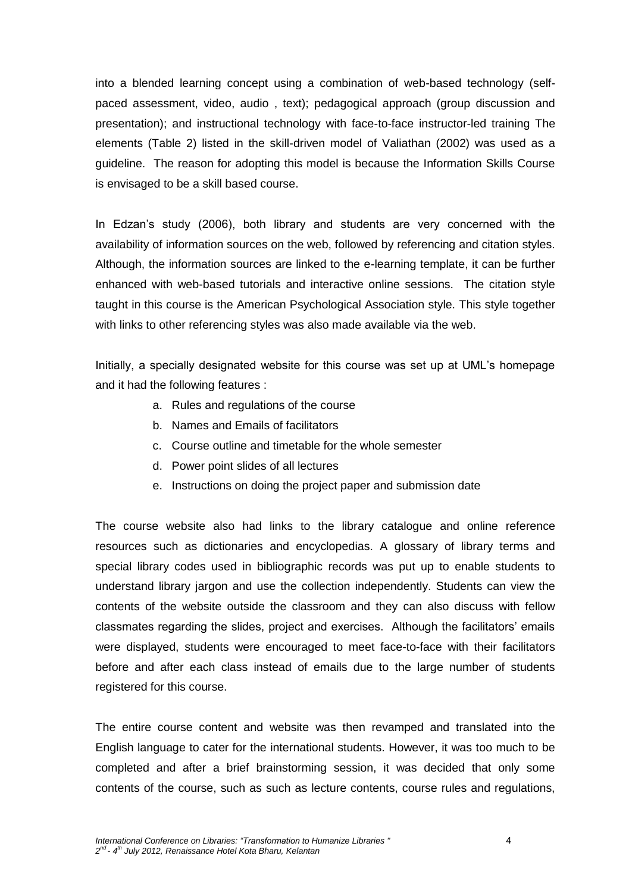into a blended learning concept using a combination of web-based technology (selfpaced assessment, video, audio , text); pedagogical approach (group discussion and presentation); and instructional technology with face-to-face instructor-led training The elements (Table 2) listed in the skill-driven model of Valiathan (2002) was used as a guideline. The reason for adopting this model is because the Information Skills Course is envisaged to be a skill based course.

In Edzan's study (2006), both library and students are very concerned with the availability of information sources on the web, followed by referencing and citation styles. Although, the information sources are linked to the e-learning template, it can be further enhanced with web-based tutorials and interactive online sessions. The citation style taught in this course is the American Psychological Association style. This style together with links to other referencing styles was also made available via the web.

Initially, a specially designated website for this course was set up at UML's homepage and it had the following features :

- a. Rules and regulations of the course
- b. Names and Emails of facilitators
- c. Course outline and timetable for the whole semester
- d. Power point slides of all lectures
- e. Instructions on doing the project paper and submission date

The course website also had links to the library catalogue and online reference resources such as dictionaries and encyclopedias. A glossary of library terms and special library codes used in bibliographic records was put up to enable students to understand library jargon and use the collection independently. Students can view the contents of the website outside the classroom and they can also discuss with fellow classmates regarding the slides, project and exercises. Although the facilitators' emails were displayed, students were encouraged to meet face-to-face with their facilitators before and after each class instead of emails due to the large number of students registered for this course.

The entire course content and website was then revamped and translated into the English language to cater for the international students. However, it was too much to be completed and after a brief brainstorming session, it was decided that only some contents of the course, such as such as lecture contents, course rules and regulations,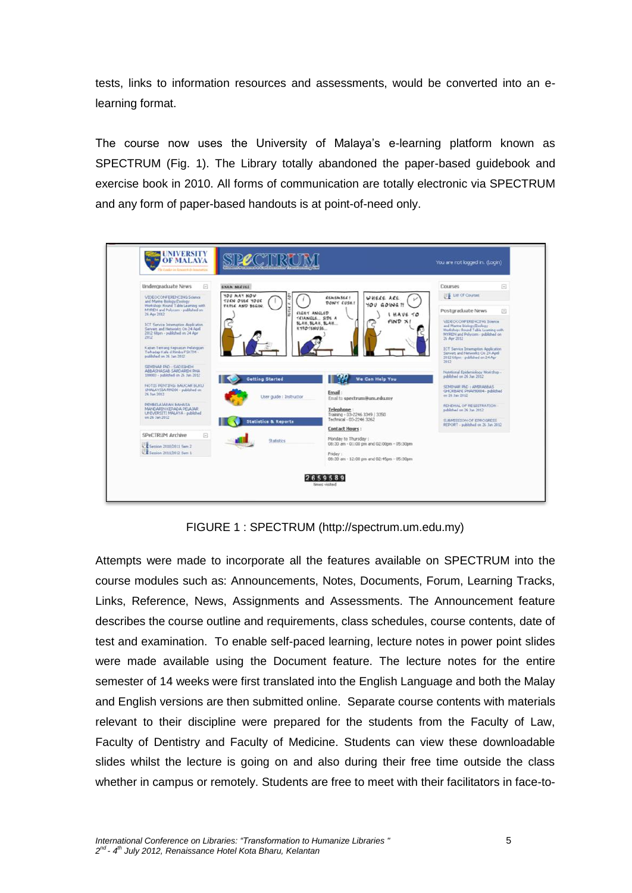tests, links to information resources and assessments, would be converted into an elearning format.

The course now uses the University of Malaya's e-learning platform known as SPECTRUM (Fig. 1). The Library totally abandoned the paper-based guidebook and exercise book in 2010. All forms of communication are totally electronic via SPECTRUM and any form of paper-based handouts is at point-of-need only.

| Undergraduate News<br>日                                                                                                   | <b>EXAM NEEVES</b>                     |                                                                  | e<br>Courses                                                                                                                                     |
|---------------------------------------------------------------------------------------------------------------------------|----------------------------------------|------------------------------------------------------------------|--------------------------------------------------------------------------------------------------------------------------------------------------|
| VIDEOCONFERENCING Sounce<br>and Marine Biology (Zoology)                                                                  | YOU MAY NOW<br>TUEN OVER YOUR          | <b>CEMEMBER!</b><br>WHERE ARE<br>DON'T EUSH !                    | List Of Courses                                                                                                                                  |
| Workshop: Roond Table Learning with<br>MYREN and Polycom - published on<br>26 Apr 2012                                    | PAPEC AND BEGIN<br><b>ELGHY ANGLED</b> | YOU GOING ?!<br>I HAVE TO                                        | Postgraduate News<br>Θ                                                                                                                           |
| <b>ICT Service Internation Application</b><br>Servers and Networks On 24 April<br>2012 Glam - published on 24 Apr<br>2012 | <b>KYPO TENUSE</b>                     | TELANGLE SIDE A<br>$FIND \times I$<br><b>SLAK, SLAK, SLAK</b>    | VIDEOCOFFERENCING Source<br>and Marine Biology/Zoology<br>Workshop: Round Table Learning with<br>MYREN and Polycom - published on<br>26 Apr 2012 |
| Kajian Tentang Kepuatan Pelanggan<br>Terhadap Kafe d Rimba FSKTM -<br>published on 26 Jan 2012                            |                                        |                                                                  | ICT Service Interruption Application<br>Servers and Networks On 24 April<br>2012 68pm - published on 24 Apr<br>2012                              |
| SEMINAR PAD : SADIGHEH<br>ABBASNASAB SARDAREH PHA<br>100003 - published on 26 Jan 2012                                    | Getting Started                        | We Can Help You                                                  | Nutritional Epidemiology Workshop -<br>published on 26 Jan 2012                                                                                  |
| NOTIS PENTING: BALICAR BLIKU<br>IMALAYSIA RM200 - published on<br>26 Jan 2012                                             | User guide : Instructor                | Email:<br>Email to spectrum@um.edu.my                            | SEMINAR PLO : AMPANNAS<br>GHORBAND PHASS0004 - published<br>on 26 Jan 2012                                                                       |
| PEMBELA MARAN BAHASA<br>MANDARIN KEPADA PELAJAR<br>LINEVERSITI MALAYA - published                                         |                                        | Telephone:                                                       | RENDWAL OF REGISTRATION -<br>published on 26 Jan 2012                                                                                            |
| un 26 Jan 2012                                                                                                            | <b>Statistics &amp; Reports</b>        | Training - 03-2246 3349 / 3350<br>Technical - 03-2246 3262       | SUBMISSION OF EPROGRESS<br>REPORT - published on 26 Jan 2012                                                                                     |
| SPeCTRUM Archive<br>E                                                                                                     |                                        | <b>Contact Hours:</b>                                            |                                                                                                                                                  |
| C E Settion 2010/2011 Sam 2                                                                                               | Statistics                             | Monday to Thursday:<br>08:30 am - 01:00 pm and 02:00pm - 05:30pm |                                                                                                                                                  |
| Session 2011/2012 Sem 1                                                                                                   |                                        | Friday:<br>08:30 am - 12:00 pm and 02:45pm - 05:30pm             |                                                                                                                                                  |

FIGURE 1 : SPECTRUM (http://spectrum.um.edu.my)

Attempts were made to incorporate all the features available on SPECTRUM into the course modules such as: Announcements, Notes, Documents, Forum, Learning Tracks, Links, Reference, News, Assignments and Assessments. The Announcement feature describes the course outline and requirements, class schedules, course contents, date of test and examination. To enable self-paced learning, lecture notes in power point slides were made available using the Document feature. The lecture notes for the entire semester of 14 weeks were first translated into the English Language and both the Malay and English versions are then submitted online. Separate course contents with materials relevant to their discipline were prepared for the students from the Faculty of Law, Faculty of Dentistry and Faculty of Medicine. Students can view these downloadable slides whilst the lecture is going on and also during their free time outside the class whether in campus or remotely. Students are free to meet with their facilitators in face-to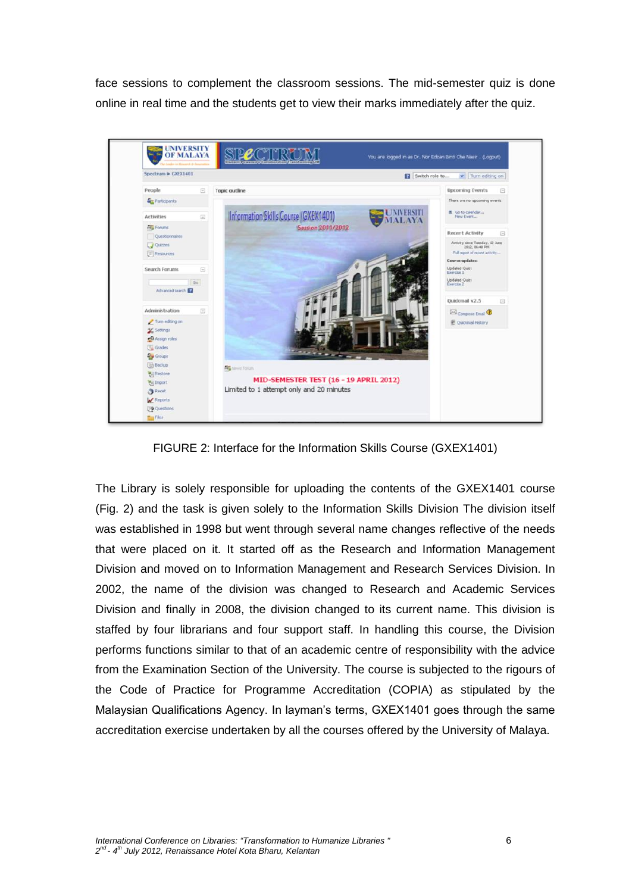face sessions to complement the classroom sessions. The mid-semester quiz is done online in real time and the students get to view their marks immediately after the quiz.



FIGURE 2: Interface for the Information Skills Course (GXEX1401)

The Library is solely responsible for uploading the contents of the GXEX1401 course (Fig. 2) and the task is given solely to the Information Skills Division The division itself was established in 1998 but went through several name changes reflective of the needs that were placed on it. It started off as the Research and Information Management Division and moved on to Information Management and Research Services Division. In 2002, the name of the division was changed to Research and Academic Services Division and finally in 2008, the division changed to its current name. This division is staffed by four librarians and four support staff. In handling this course, the Division performs functions similar to that of an academic centre of responsibility with the advice from the Examination Section of the University. The course is subjected to the rigours of the Code of Practice for Programme Accreditation (COPIA) as stipulated by the Malaysian Qualifications Agency. In layman's terms, GXEX1401 goes through the same accreditation exercise undertaken by all the courses offered by the University of Malaya.